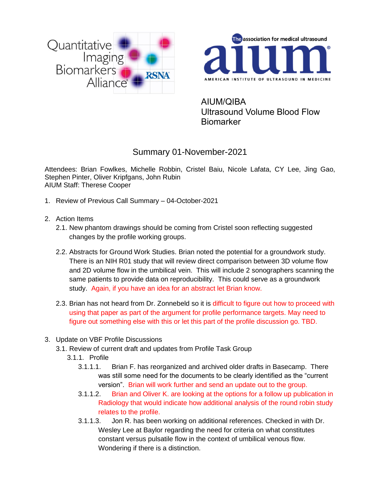



AIUM/QIBA Ultrasound Volume Blood Flow **Biomarker** 

## Summary 01-November-2021

Attendees: Brian Fowlkes, Michelle Robbin, Cristel Baiu, Nicole Lafata, CY Lee, Jing Gao, Stephen Pinter, Oliver Kripfgans, John Rubin AIUM Staff: Therese Cooper

- 1. Review of Previous Call Summary 04-October-2021
- 2. Action Items
	- 2.1. New phantom drawings should be coming from Cristel soon reflecting suggested changes by the profile working groups.
	- 2.2. Abstracts for Ground Work Studies. Brian noted the potential for a groundwork study. There is an NIH R01 study that will review direct comparison between 3D volume flow and 2D volume flow in the umbilical vein. This will include 2 sonographers scanning the same patients to provide data on reproducibility. This could serve as a groundwork study. Again, if you have an idea for an abstract let Brian know.
	- 2.3. Brian has not heard from Dr. Zonnebeld so it is difficult to figure out how to proceed with using that paper as part of the argument for profile performance targets. May need to figure out something else with this or let this part of the profile discussion go. TBD.
- 3. Update on VBF Profile Discussions
	- 3.1. Review of current draft and updates from Profile Task Group
		- 3.1.1. Profile
			- 3.1.1.1. Brian F. has reorganized and archived older drafts in Basecamp. There was still some need for the documents to be clearly identified as the "current version". Brian will work further and send an update out to the group.
			- 3.1.1.2. Brian and Oliver K. are looking at the options for a follow up publication in Radiology that would indicate how additional analysis of the round robin study relates to the profile.
			- 3.1.1.3. Jon R. has been working on additional references. Checked in with Dr. Wesley Lee at Baylor regarding the need for criteria on what constitutes constant versus pulsatile flow in the context of umbilical venous flow. Wondering if there is a distinction.